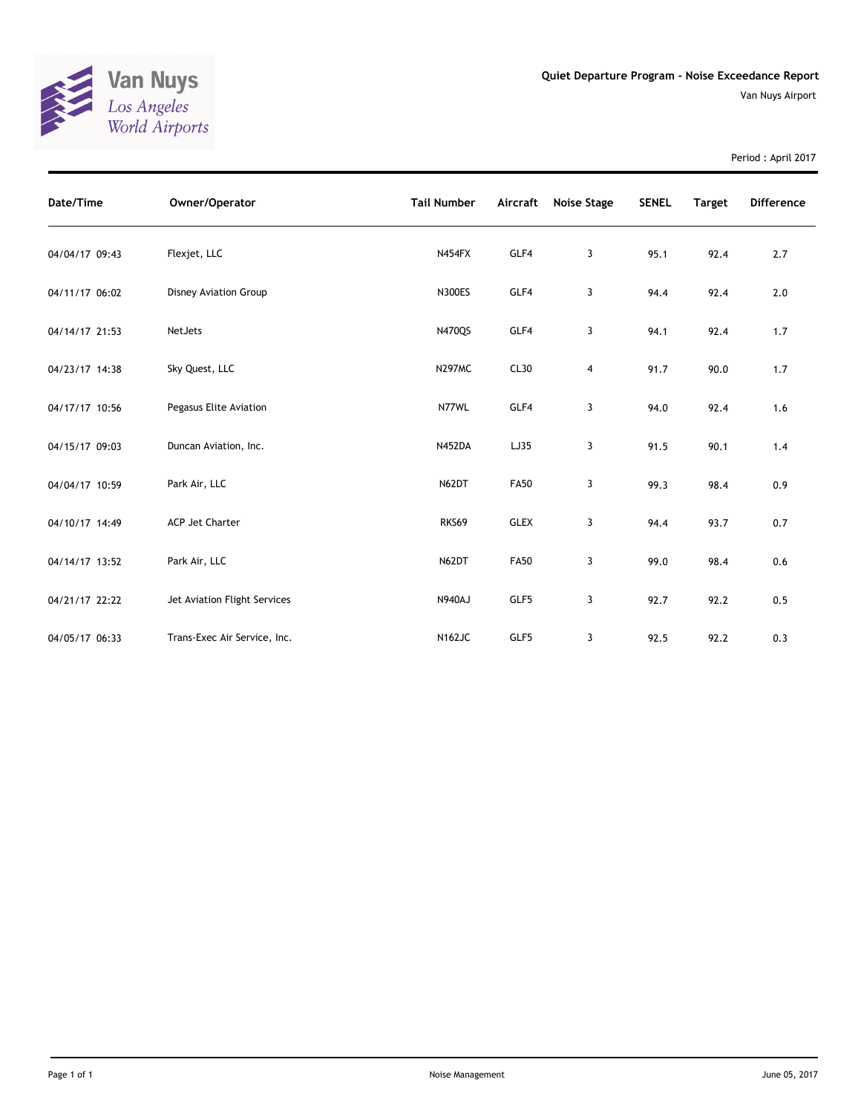

Period : April 2017

| Date/Time      | Owner/Operator               | <b>Tail Number</b> | Aircraft    | Noise Stage | <b>SENEL</b> | <b>Target</b> | <b>Difference</b> |
|----------------|------------------------------|--------------------|-------------|-------------|--------------|---------------|-------------------|
| 04/04/17 09:43 | Flexjet, LLC                 | N454FX             | GLF4        | 3           | 95.1         | 92.4          | 2.7               |
| 04/11/17 06:02 | <b>Disney Aviation Group</b> | <b>N300ES</b>      | GLF4        | 3           | 94.4         | 92.4          | 2.0               |
| 04/14/17 21:53 | NetJets                      | N470QS             | GLF4        | 3           | 94.1         | 92.4          | 1.7               |
| 04/23/17 14:38 | Sky Quest, LLC               | <b>N297MC</b>      | CL30        | 4           | 91.7         | 90.0          | 1.7               |
| 04/17/17 10:56 | Pegasus Elite Aviation       | N77WL              | GLF4        | 3           | 94.0         | 92.4          | 1.6               |
| 04/15/17 09:03 | Duncan Aviation, Inc.        | <b>N452DA</b>      | LJ35        | 3           | 91.5         | 90.1          | 1.4               |
| 04/04/17 10:59 | Park Air, LLC                | N62DT              | <b>FA50</b> | 3           | 99.3         | 98.4          | 0.9               |
| 04/10/17 14:49 | ACP Jet Charter              | RKS69              | <b>GLEX</b> | 3           | 94.4         | 93.7          | 0.7               |
| 04/14/17 13:52 | Park Air, LLC                | N62DT              | <b>FA50</b> | 3           | 99.0         | 98.4          | 0.6               |
| 04/21/17 22:22 | Jet Aviation Flight Services | <b>N940AJ</b>      | GLF5        | 3           | 92.7         | 92.2          | 0.5               |
| 04/05/17 06:33 | Trans-Exec Air Service, Inc. | <b>N162JC</b>      | GLF5        | 3           | 92.5         | 92.2          | 0.3               |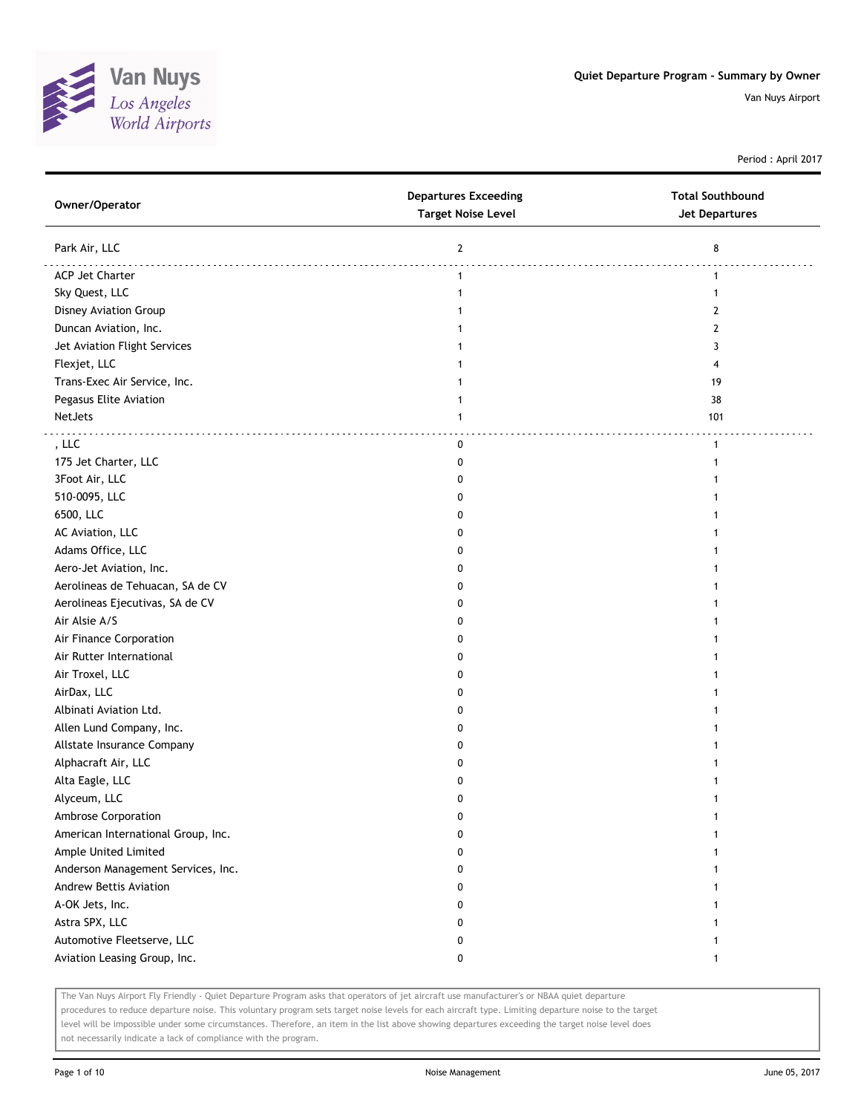

Period : April 2017

| Owner/Operator                     | <b>Departures Exceeding</b><br><b>Target Noise Level</b> | <b>Total Southbound</b><br><b>Jet Departures</b> |
|------------------------------------|----------------------------------------------------------|--------------------------------------------------|
| Park Air, LLC                      | $\mathbf{2}$                                             | 8                                                |
| <b>ACP Jet Charter</b>             | $\mathbf{1}$                                             | 1                                                |
| Sky Quest, LLC                     | $\mathbf{1}$                                             | $\mathbf{1}$                                     |
| Disney Aviation Group              |                                                          | 2                                                |
| Duncan Aviation, Inc.              |                                                          | 2                                                |
| Jet Aviation Flight Services       | 1                                                        | 3                                                |
| Flexjet, LLC                       | 1                                                        | 4                                                |
| Trans-Exec Air Service, Inc.       | 1                                                        | 19                                               |
| Pegasus Elite Aviation             | 1                                                        | 38                                               |
| NetJets                            | $\mathbf{1}$                                             | 101                                              |
| , LLC                              | 0                                                        | $\mathbf{1}$                                     |
| 175 Jet Charter, LLC               | 0                                                        |                                                  |
| 3Foot Air, LLC                     | 0                                                        |                                                  |
| 510-0095, LLC                      | O                                                        |                                                  |
| 6500, LLC                          | 0                                                        |                                                  |
| AC Aviation, LLC                   | 0                                                        |                                                  |
| Adams Office, LLC                  | 0                                                        |                                                  |
| Aero-Jet Aviation, Inc.            | 0                                                        |                                                  |
| Aerolineas de Tehuacan, SA de CV   | 0                                                        |                                                  |
| Aerolineas Ejecutivas, SA de CV    | 0                                                        |                                                  |
| Air Alsie A/S                      | 0                                                        |                                                  |
| Air Finance Corporation            | 0                                                        |                                                  |
| Air Rutter International           | 0                                                        |                                                  |
| Air Troxel, LLC                    | O                                                        |                                                  |
| AirDax, LLC                        | 0                                                        |                                                  |
| Albinati Aviation Ltd.             | 0                                                        |                                                  |
| Allen Lund Company, Inc.           | 0                                                        |                                                  |
| Allstate Insurance Company         | 0                                                        |                                                  |
| Alphacraft Air, LLC                | 0                                                        |                                                  |
| Alta Eagle, LLC                    | 0                                                        |                                                  |
| Alyceum, LLC                       | 0                                                        |                                                  |
| Ambrose Corporation                | 0                                                        |                                                  |
| American International Group, Inc. | O                                                        |                                                  |
| Ample United Limited               | O                                                        |                                                  |
| Anderson Management Services, Inc. | 0                                                        |                                                  |
| Andrew Bettis Aviation             | 0                                                        |                                                  |
| A-OK Jets, Inc.                    | 0                                                        |                                                  |
| Astra SPX, LLC                     | 0                                                        |                                                  |
| Automotive Fleetserve, LLC         | 0                                                        |                                                  |
| Aviation Leasing Group, Inc.       | 0                                                        | 1                                                |

The Van Nuys Airport Fly Friendly - Quiet Departure Program asks that operators of jet aircraft use manufacturer's or NBAA quiet departure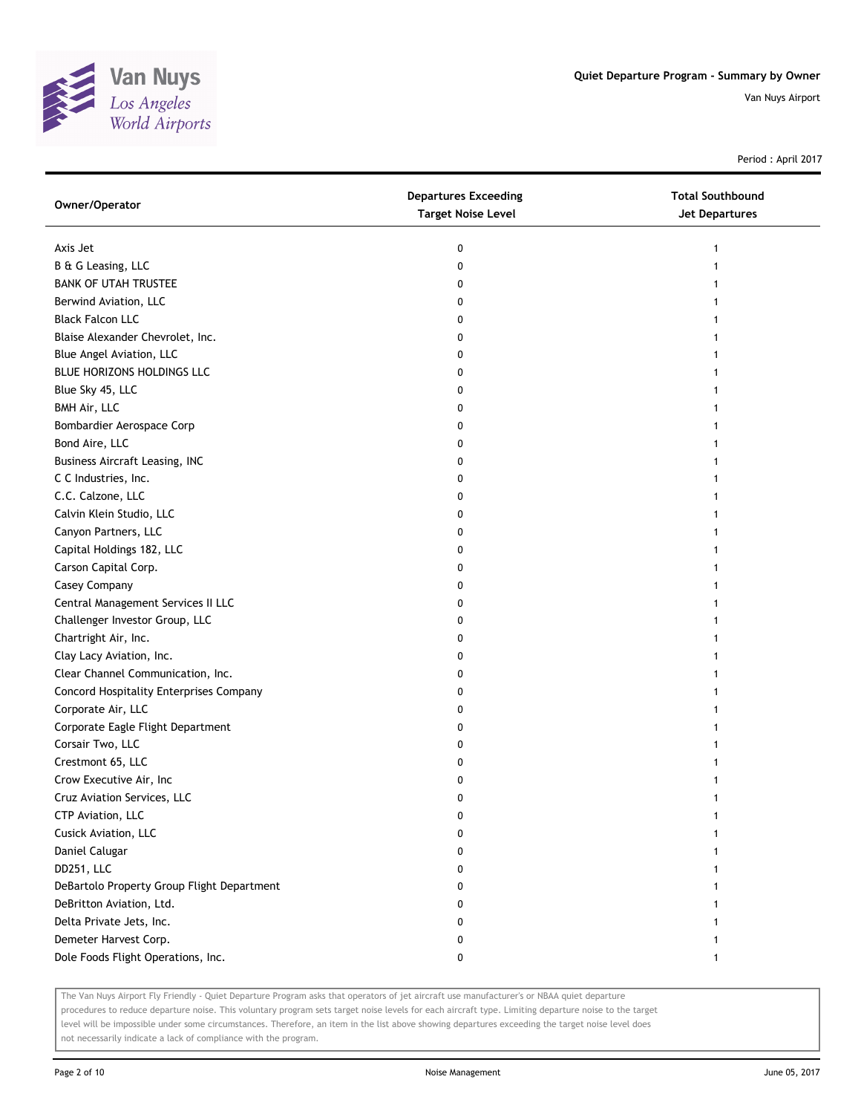

Period : April 2017

| Owner/Operator                             | <b>Departures Exceeding</b><br><b>Target Noise Level</b> | <b>Total Southbound</b><br>Jet Departures |
|--------------------------------------------|----------------------------------------------------------|-------------------------------------------|
| Axis Jet                                   | 0                                                        | 1                                         |
| B & G Leasing, LLC                         | 0                                                        |                                           |
| <b>BANK OF UTAH TRUSTEE</b>                | 0                                                        |                                           |
| Berwind Aviation, LLC                      | 0                                                        |                                           |
| <b>Black Falcon LLC</b>                    | 0                                                        |                                           |
| Blaise Alexander Chevrolet, Inc.           | 0                                                        | 1                                         |
| Blue Angel Aviation, LLC                   | 0                                                        |                                           |
| BLUE HORIZONS HOLDINGS LLC                 | 0                                                        |                                           |
| Blue Sky 45, LLC                           | 0                                                        |                                           |
| BMH Air, LLC                               | 0                                                        |                                           |
| Bombardier Aerospace Corp                  | 0                                                        |                                           |
| Bond Aire, LLC                             | 0                                                        |                                           |
| <b>Business Aircraft Leasing, INC</b>      | 0                                                        |                                           |
| C C Industries, Inc.                       | 0                                                        |                                           |
| C.C. Calzone, LLC                          | 0                                                        |                                           |
| Calvin Klein Studio, LLC                   | 0                                                        |                                           |
| Canyon Partners, LLC                       | 0                                                        |                                           |
| Capital Holdings 182, LLC                  | 0                                                        |                                           |
| Carson Capital Corp.                       | 0                                                        |                                           |
| Casey Company                              | 0                                                        |                                           |
| Central Management Services II LLC         | 0                                                        |                                           |
| Challenger Investor Group, LLC             | 0                                                        |                                           |
| Chartright Air, Inc.                       | 0                                                        |                                           |
| Clay Lacy Aviation, Inc.                   | 0                                                        |                                           |
| Clear Channel Communication, Inc.          | 0                                                        | 1                                         |
| Concord Hospitality Enterprises Company    | 0                                                        | 1                                         |
| Corporate Air, LLC                         | 0                                                        |                                           |
| Corporate Eagle Flight Department          | 0                                                        |                                           |
| Corsair Two, LLC                           | 0                                                        |                                           |
| Crestmont 65, LLC                          | 0                                                        |                                           |
| Crow Executive Air, Inc                    | 0                                                        |                                           |
| Cruz Aviation Services, LLC                | 0                                                        |                                           |
| CTP Aviation, LLC                          | 0                                                        |                                           |
| Cusick Aviation, LLC                       | 0                                                        |                                           |
| Daniel Calugar                             | 0                                                        |                                           |
| DD251, LLC                                 | 0                                                        |                                           |
| DeBartolo Property Group Flight Department | 0                                                        |                                           |
| DeBritton Aviation, Ltd.                   | 0                                                        |                                           |
| Delta Private Jets, Inc.                   | 0                                                        |                                           |
| Demeter Harvest Corp.                      | 0                                                        |                                           |
| Dole Foods Flight Operations, Inc.         | 0                                                        | $\mathbf{1}$                              |

The Van Nuys Airport Fly Friendly - Quiet Departure Program asks that operators of jet aircraft use manufacturer's or NBAA quiet departure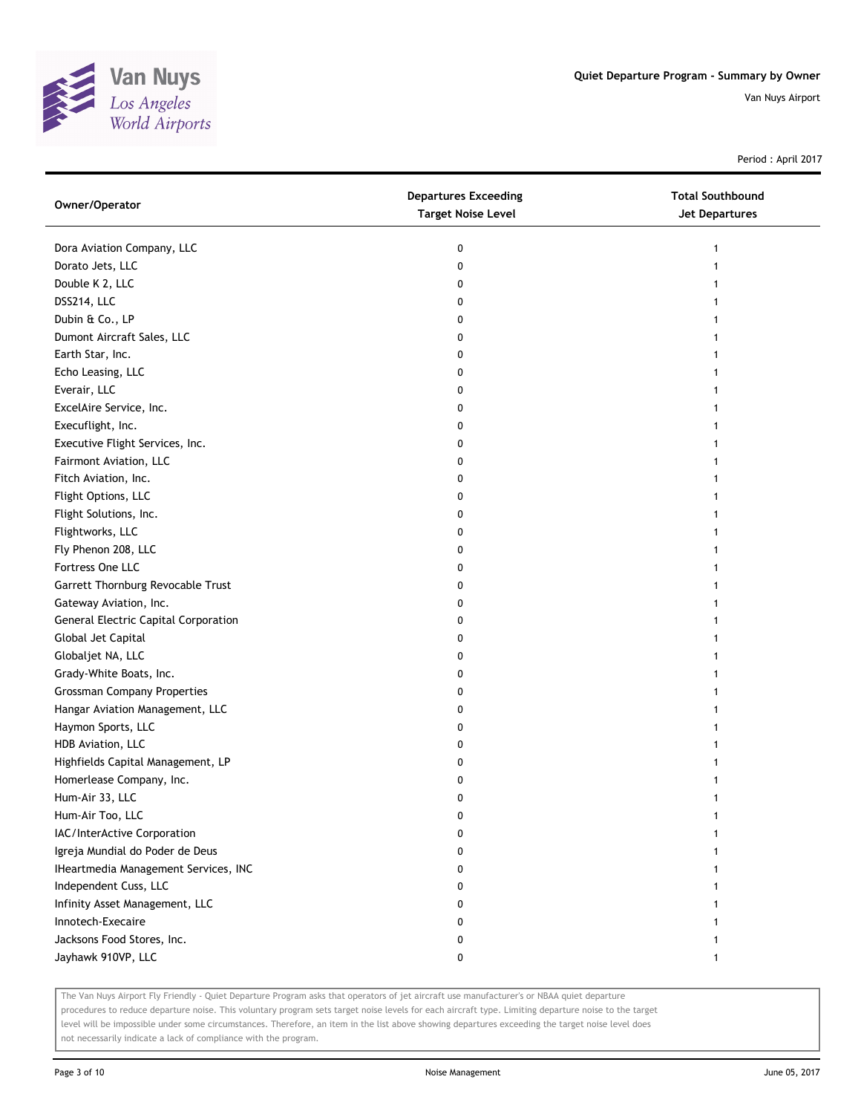

Period : April 2017

| Owner/Operator                              | <b>Departures Exceeding</b><br><b>Target Noise Level</b> | <b>Total Southbound</b><br>Jet Departures |
|---------------------------------------------|----------------------------------------------------------|-------------------------------------------|
| Dora Aviation Company, LLC                  | 0                                                        | 1                                         |
| Dorato Jets, LLC                            | 0                                                        |                                           |
| Double K 2, LLC                             | 0                                                        |                                           |
| DSS214, LLC                                 | 0                                                        |                                           |
| Dubin & Co., LP                             | 0                                                        | 1                                         |
| Dumont Aircraft Sales, LLC                  | 0                                                        |                                           |
| Earth Star, Inc.                            | 0                                                        |                                           |
| Echo Leasing, LLC                           | 0                                                        |                                           |
| Everair, LLC                                | 0                                                        |                                           |
| ExcelAire Service, Inc.                     | 0                                                        |                                           |
| Execuflight, Inc.                           | 0                                                        |                                           |
| Executive Flight Services, Inc.             | 0                                                        |                                           |
| Fairmont Aviation, LLC                      | 0                                                        |                                           |
| Fitch Aviation, Inc.                        | 0                                                        |                                           |
| Flight Options, LLC                         | 0                                                        |                                           |
| Flight Solutions, Inc.                      | 0                                                        |                                           |
| Flightworks, LLC                            | 0                                                        |                                           |
| Fly Phenon 208, LLC                         | 0                                                        |                                           |
| Fortress One LLC                            | 0                                                        |                                           |
| Garrett Thornburg Revocable Trust           | 0                                                        |                                           |
| Gateway Aviation, Inc.                      | 0                                                        |                                           |
| <b>General Electric Capital Corporation</b> | 0                                                        |                                           |
| Global Jet Capital                          | 0                                                        |                                           |
| Globaljet NA, LLC                           | 0                                                        |                                           |
| Grady-White Boats, Inc.                     | 0                                                        |                                           |
| <b>Grossman Company Properties</b>          | 0                                                        |                                           |
| Hangar Aviation Management, LLC             | 0                                                        |                                           |
| Haymon Sports, LLC                          | 0                                                        |                                           |
| HDB Aviation, LLC                           | 0                                                        |                                           |
| Highfields Capital Management, LP           | 0                                                        |                                           |
| Homerlease Company, Inc.                    | 0                                                        |                                           |
| Hum-Air 33, LLC                             | 0                                                        |                                           |
| Hum-Air Too, LLC                            | 0                                                        |                                           |
| IAC/InterActive Corporation                 | 0                                                        |                                           |
| Igreja Mundial do Poder de Deus             | 0                                                        |                                           |
| IHeartmedia Management Services, INC        | 0                                                        |                                           |
| Independent Cuss, LLC                       | 0                                                        |                                           |
| Infinity Asset Management, LLC              | 0                                                        |                                           |
| Innotech-Execaire                           | 0                                                        |                                           |
| Jacksons Food Stores, Inc.                  | 0                                                        |                                           |
| Jayhawk 910VP, LLC                          | 0                                                        |                                           |

The Van Nuys Airport Fly Friendly - Quiet Departure Program asks that operators of jet aircraft use manufacturer's or NBAA quiet departure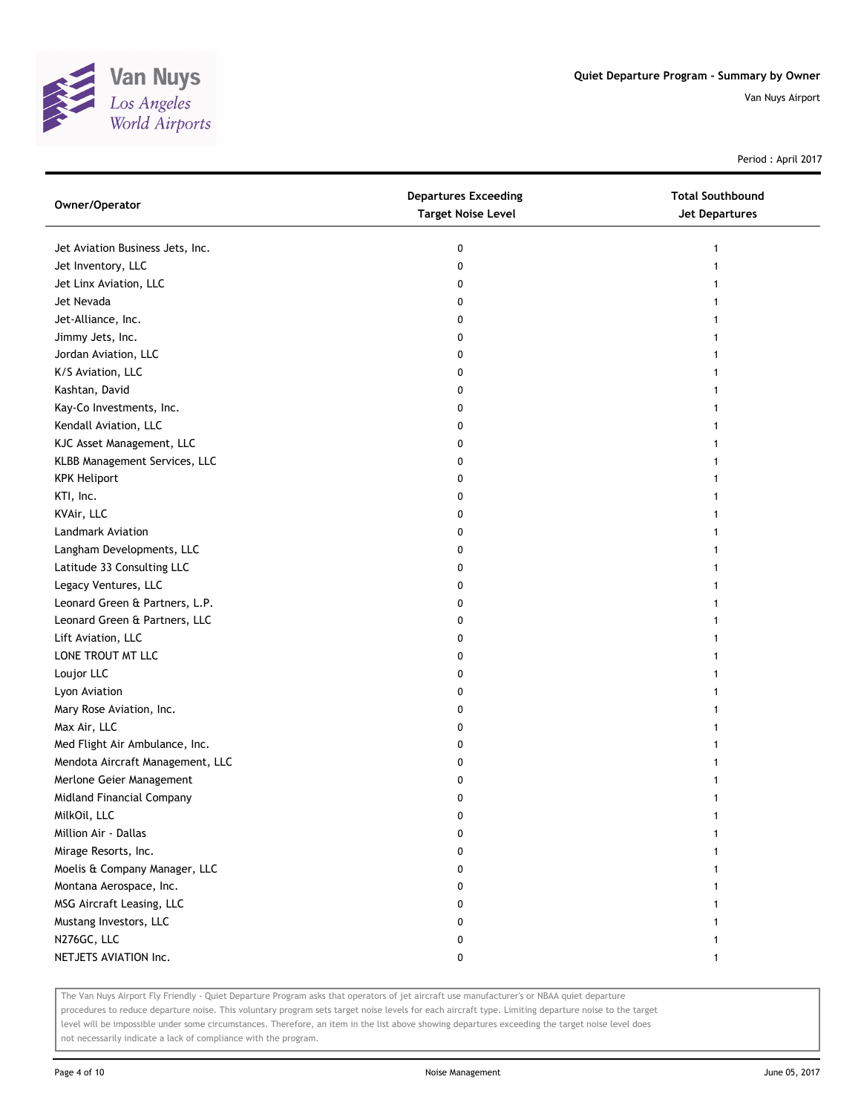

Period : April 2017

| Owner/Operator                   | <b>Departures Exceeding</b><br><b>Target Noise Level</b> | <b>Total Southbound</b><br>Jet Departures |
|----------------------------------|----------------------------------------------------------|-------------------------------------------|
| Jet Aviation Business Jets, Inc. | 0                                                        | 1                                         |
| Jet Inventory, LLC               | 0                                                        |                                           |
| Jet Linx Aviation, LLC           | 0                                                        |                                           |
| Jet Nevada                       | 0                                                        |                                           |
| Jet-Alliance, Inc.               | 0                                                        | 1                                         |
| Jimmy Jets, Inc.                 | 0                                                        |                                           |
| Jordan Aviation, LLC             | 0                                                        |                                           |
| K/S Aviation, LLC                | 0                                                        |                                           |
| Kashtan, David                   | 0                                                        |                                           |
| Kay-Co Investments, Inc.         | 0                                                        |                                           |
| Kendall Aviation, LLC            | 0                                                        |                                           |
| KJC Asset Management, LLC        | 0                                                        |                                           |
| KLBB Management Services, LLC    | 0                                                        |                                           |
| <b>KPK Heliport</b>              | 0                                                        |                                           |
| KTI, Inc.                        | 0                                                        | 1                                         |
| KVAir, LLC                       | 0                                                        |                                           |
| Landmark Aviation                | 0                                                        |                                           |
| Langham Developments, LLC        | 0                                                        |                                           |
| Latitude 33 Consulting LLC       | 0                                                        |                                           |
| Legacy Ventures, LLC             | 0                                                        |                                           |
| Leonard Green & Partners, L.P.   | 0                                                        |                                           |
| Leonard Green & Partners, LLC    | 0                                                        |                                           |
| Lift Aviation, LLC               | 0                                                        |                                           |
| LONE TROUT MT LLC                | 0                                                        |                                           |
| Loujor LLC                       | 0                                                        |                                           |
| Lyon Aviation                    | 0                                                        |                                           |
| Mary Rose Aviation, Inc.         | 0                                                        |                                           |
| Max Air, LLC                     | 0                                                        |                                           |
| Med Flight Air Ambulance, Inc.   | 0                                                        |                                           |
| Mendota Aircraft Management, LLC | 0                                                        |                                           |
| Merlone Geier Management         | 0                                                        |                                           |
| Midland Financial Company        | 0                                                        |                                           |
| MilkOil, LLC                     | 0                                                        |                                           |
| Million Air - Dallas             | 0                                                        |                                           |
| Mirage Resorts, Inc.             | 0                                                        |                                           |
| Moelis & Company Manager, LLC    | 0                                                        |                                           |
| Montana Aerospace, Inc.          | 0                                                        |                                           |
| MSG Aircraft Leasing, LLC        | 0                                                        |                                           |
| Mustang Investors, LLC           | 0                                                        |                                           |
| N276GC, LLC                      | 0                                                        |                                           |
| NETJETS AVIATION Inc.            | 0                                                        | 1                                         |

The Van Nuys Airport Fly Friendly - Quiet Departure Program asks that operators of jet aircraft use manufacturer's or NBAA quiet departure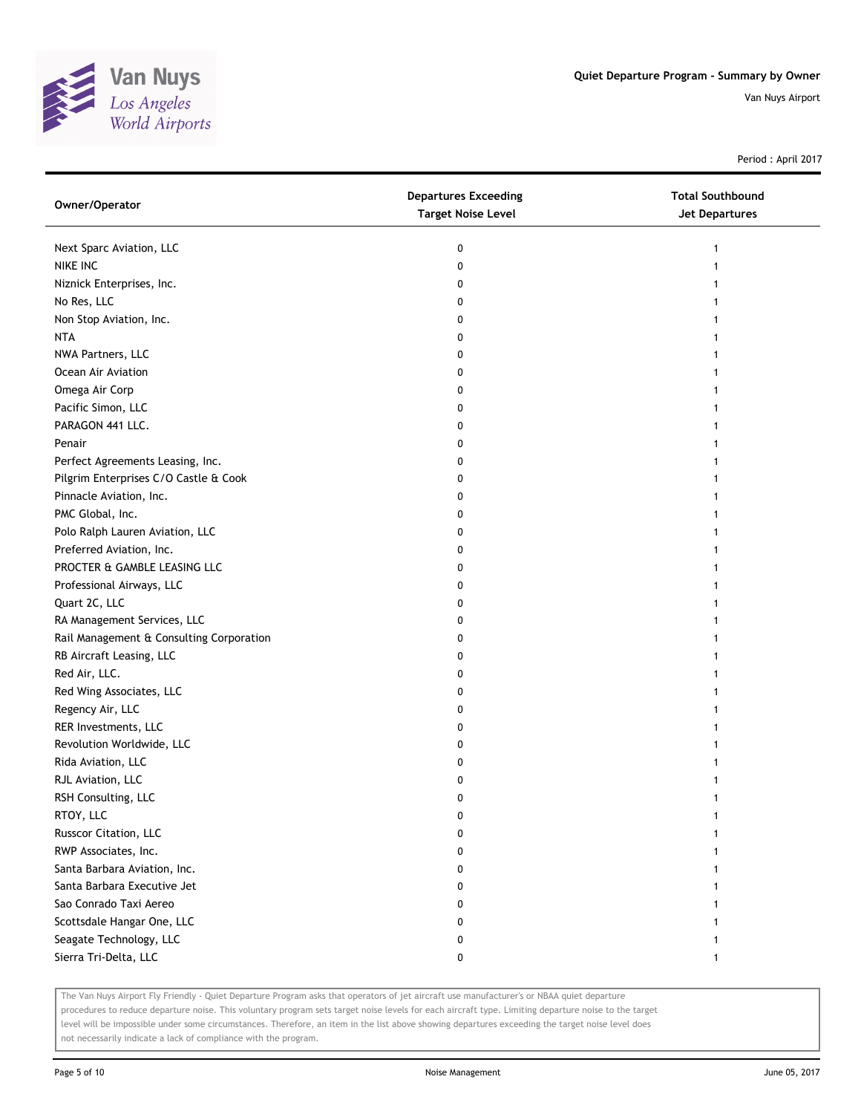

Period : April 2017

| Owner/Operator                           | <b>Departures Exceeding</b><br><b>Target Noise Level</b> | <b>Total Southbound</b><br>Jet Departures |
|------------------------------------------|----------------------------------------------------------|-------------------------------------------|
| Next Sparc Aviation, LLC                 | 0                                                        | 1                                         |
| NIKE INC                                 | 0                                                        |                                           |
| Niznick Enterprises, Inc.                | 0                                                        |                                           |
| No Res, LLC                              | 0                                                        |                                           |
| Non Stop Aviation, Inc.                  | 0                                                        |                                           |
| <b>NTA</b>                               | 0                                                        | 1                                         |
| NWA Partners, LLC                        | 0                                                        | 1                                         |
| Ocean Air Aviation                       | 0                                                        |                                           |
| Omega Air Corp                           | 0                                                        |                                           |
| Pacific Simon, LLC                       | 0                                                        |                                           |
| PARAGON 441 LLC.                         | 0                                                        |                                           |
| Penair                                   | 0                                                        |                                           |
| Perfect Agreements Leasing, Inc.         | 0                                                        |                                           |
| Pilgrim Enterprises C/O Castle & Cook    | 0                                                        |                                           |
| Pinnacle Aviation, Inc.                  | 0                                                        |                                           |
| PMC Global, Inc.                         | 0                                                        |                                           |
| Polo Ralph Lauren Aviation, LLC          | 0                                                        |                                           |
| Preferred Aviation, Inc.                 | 0                                                        |                                           |
| PROCTER & GAMBLE LEASING LLC             | 0                                                        |                                           |
| Professional Airways, LLC                | 0                                                        |                                           |
| Quart 2C, LLC                            | 0                                                        |                                           |
| RA Management Services, LLC              | 0                                                        |                                           |
| Rail Management & Consulting Corporation | 0                                                        |                                           |
| RB Aircraft Leasing, LLC                 | 0                                                        |                                           |
| Red Air, LLC.                            | 0                                                        | 1                                         |
| Red Wing Associates, LLC                 | 0                                                        | 1                                         |
| Regency Air, LLC                         | 0                                                        |                                           |
| RER Investments, LLC                     | 0                                                        |                                           |
| Revolution Worldwide, LLC                | 0                                                        |                                           |
| Rida Aviation, LLC                       | 0                                                        |                                           |
| RJL Aviation, LLC                        | 0                                                        |                                           |
| RSH Consulting, LLC                      | 0                                                        | 1                                         |
| RTOY, LLC                                | 0                                                        |                                           |
| Russcor Citation, LLC                    |                                                          |                                           |
| RWP Associates, Inc.                     | 0                                                        |                                           |
| Santa Barbara Aviation, Inc.             | 0                                                        |                                           |
| Santa Barbara Executive Jet              | 0                                                        |                                           |
| Sao Conrado Taxi Aereo                   | 0                                                        |                                           |
| Scottsdale Hangar One, LLC               | 0                                                        |                                           |
| Seagate Technology, LLC                  | 0                                                        |                                           |
| Sierra Tri-Delta, LLC                    | 0                                                        | 1                                         |

The Van Nuys Airport Fly Friendly - Quiet Departure Program asks that operators of jet aircraft use manufacturer's or NBAA quiet departure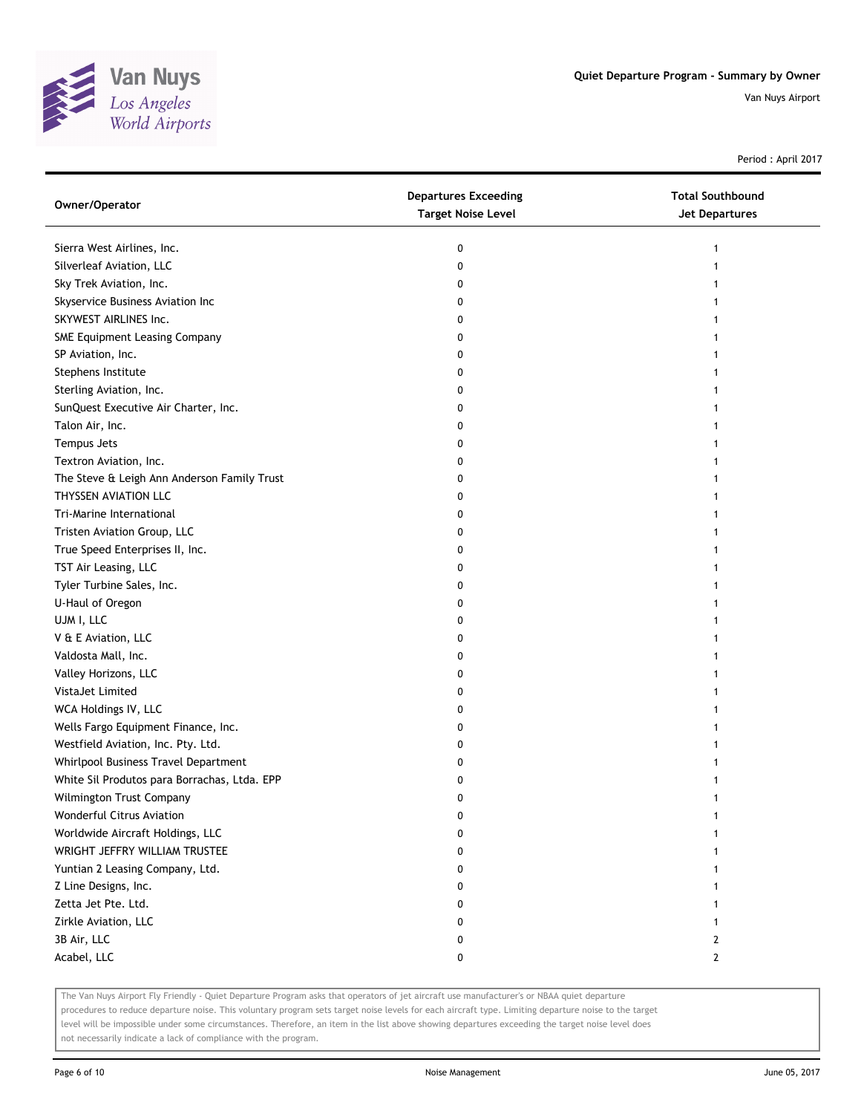

Period : April 2017

| Owner/Operator                               | <b>Departures Exceeding</b><br><b>Target Noise Level</b> | <b>Total Southbound</b><br>Jet Departures |
|----------------------------------------------|----------------------------------------------------------|-------------------------------------------|
| Sierra West Airlines, Inc.                   | 0                                                        |                                           |
| Silverleaf Aviation, LLC                     | 0                                                        |                                           |
| Sky Trek Aviation, Inc.                      | 0                                                        |                                           |
| Skyservice Business Aviation Inc             | 0                                                        |                                           |
| SKYWEST AIRLINES Inc.                        | 0                                                        |                                           |
| SME Equipment Leasing Company                | 0                                                        |                                           |
| SP Aviation, Inc.                            | 0                                                        |                                           |
| Stephens Institute                           | 0                                                        |                                           |
| Sterling Aviation, Inc.                      | 0                                                        |                                           |
| SunQuest Executive Air Charter, Inc.         | 0                                                        |                                           |
| Talon Air, Inc.                              | 0                                                        |                                           |
| Tempus Jets                                  | 0                                                        |                                           |
| Textron Aviation, Inc.                       | 0                                                        |                                           |
| The Steve & Leigh Ann Anderson Family Trust  | 0                                                        |                                           |
| THYSSEN AVIATION LLC                         | 0                                                        |                                           |
| Tri-Marine International                     | 0                                                        |                                           |
| Tristen Aviation Group, LLC                  | 0                                                        |                                           |
| True Speed Enterprises II, Inc.              | 0                                                        |                                           |
| TST Air Leasing, LLC                         | 0                                                        |                                           |
| Tyler Turbine Sales, Inc.                    | 0                                                        |                                           |
| U-Haul of Oregon                             | 0                                                        |                                           |
| UJM I, LLC                                   | 0                                                        |                                           |
| V & E Aviation, LLC                          | 0                                                        |                                           |
| Valdosta Mall, Inc.                          | 0                                                        |                                           |
| Valley Horizons, LLC                         | 0                                                        |                                           |
| VistaJet Limited                             | 0                                                        |                                           |
| WCA Holdings IV, LLC                         | 0                                                        |                                           |
| Wells Fargo Equipment Finance, Inc.          | 0                                                        |                                           |
| Westfield Aviation, Inc. Pty. Ltd.           | 0                                                        |                                           |
| Whirlpool Business Travel Department         | 0                                                        |                                           |
| White Sil Produtos para Borrachas, Ltda. EPP | 0                                                        |                                           |
| Wilmington Trust Company                     | 0                                                        |                                           |
| Wonderful Citrus Aviation                    | 0                                                        |                                           |
| Worldwide Aircraft Holdings, LLC             | 0                                                        |                                           |
| WRIGHT JEFFRY WILLIAM TRUSTEE                | 0                                                        |                                           |
| Yuntian 2 Leasing Company, Ltd.              | 0                                                        |                                           |
| Z Line Designs, Inc.                         | 0                                                        |                                           |
| Zetta Jet Pte. Ltd.                          | 0                                                        |                                           |
| Zirkle Aviation, LLC                         | 0                                                        |                                           |
| 3B Air, LLC                                  | 0                                                        | 2                                         |
| Acabel, LLC                                  | 0                                                        | $\mathbf{2}$                              |

The Van Nuys Airport Fly Friendly - Quiet Departure Program asks that operators of jet aircraft use manufacturer's or NBAA quiet departure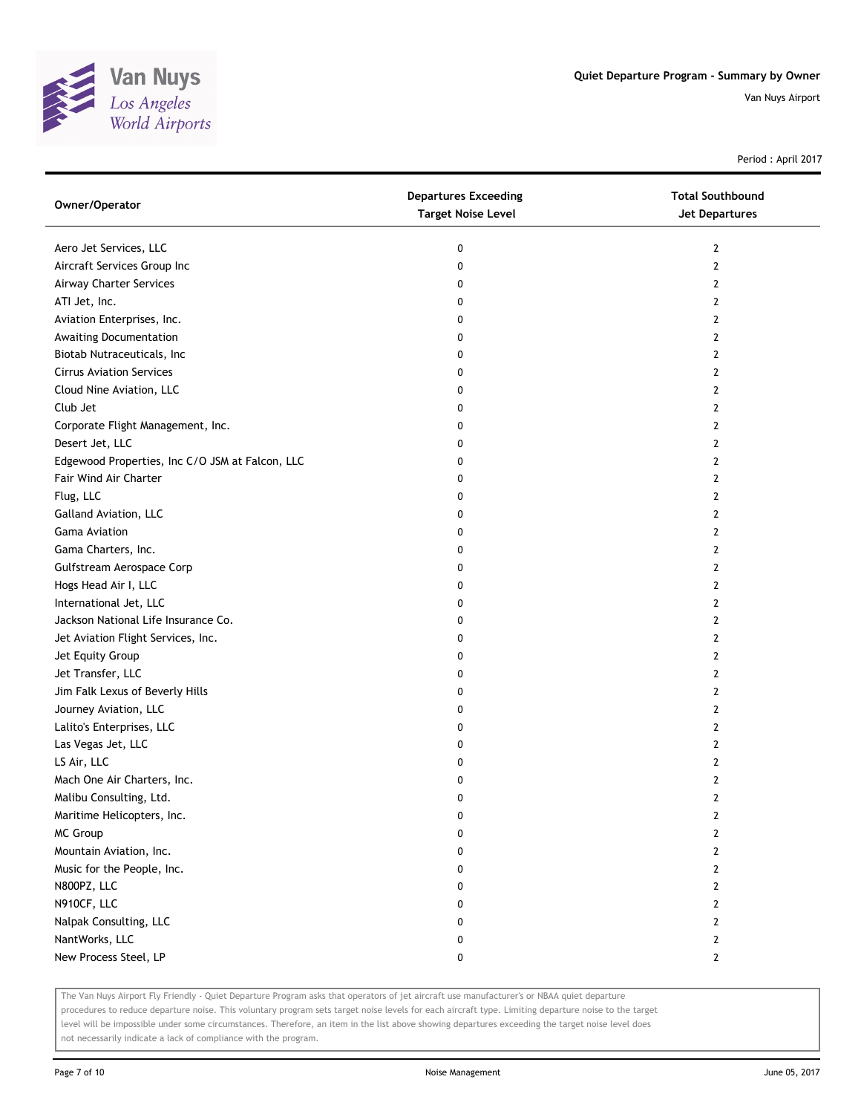

Period : April 2017

| Owner/Operator                                  | <b>Departures Exceeding</b><br><b>Target Noise Level</b> | <b>Total Southbound</b><br>Jet Departures |
|-------------------------------------------------|----------------------------------------------------------|-------------------------------------------|
| Aero Jet Services, LLC                          | 0                                                        | 2                                         |
| Aircraft Services Group Inc                     | 0                                                        | 2                                         |
| Airway Charter Services                         | 0                                                        | $\mathbf{2}$                              |
| ATI Jet, Inc.                                   | 0                                                        | 2                                         |
| Aviation Enterprises, Inc.                      | 0                                                        | 2                                         |
| Awaiting Documentation                          | 0                                                        | 2                                         |
| Biotab Nutraceuticals, Inc                      | 0                                                        | 2                                         |
| <b>Cirrus Aviation Services</b>                 | 0                                                        | $\mathbf{2}$                              |
| Cloud Nine Aviation, LLC                        | 0                                                        | $\overline{2}$                            |
| Club Jet                                        | 0                                                        | 2                                         |
| Corporate Flight Management, Inc.               | 0                                                        | $\overline{2}$                            |
| Desert Jet, LLC                                 | 0                                                        | 2                                         |
| Edgewood Properties, Inc C/O JSM at Falcon, LLC | 0                                                        | $\mathbf{2}$                              |
| Fair Wind Air Charter                           | 0                                                        | 2                                         |
| Flug, LLC                                       | 0                                                        | 2                                         |
| Galland Aviation, LLC                           | 0                                                        | 2                                         |
| <b>Gama Aviation</b>                            | 0                                                        | 2                                         |
| Gama Charters, Inc.                             | 0                                                        | $\mathbf{2}$                              |
| Gulfstream Aerospace Corp                       | 0                                                        | $\overline{2}$                            |
| Hogs Head Air I, LLC                            | 0                                                        | 2                                         |
| International Jet, LLC                          | 0                                                        | $\overline{2}$                            |
| Jackson National Life Insurance Co.             | 0                                                        | 2                                         |
| Jet Aviation Flight Services, Inc.              | 0                                                        | $\overline{2}$                            |
| Jet Equity Group                                | 0                                                        | 2                                         |
| Jet Transfer, LLC                               | 0                                                        | 2                                         |
| Jim Falk Lexus of Beverly Hills                 | 0                                                        | 2                                         |
| Journey Aviation, LLC                           | 0                                                        | 2                                         |
| Lalito's Enterprises, LLC                       | 0                                                        | $\overline{2}$                            |
| Las Vegas Jet, LLC                              | 0                                                        | $\overline{2}$                            |
| LS Air, LLC                                     | 0                                                        | 2                                         |
| Mach One Air Charters, Inc.                     | 0                                                        | $\overline{2}$                            |
| Malibu Consulting, Ltd.                         | 0                                                        | $\overline{2}$                            |
| Maritime Helicopters, Inc.                      | 0                                                        | $\overline{2}$                            |
| MC Group                                        | 0                                                        | $\overline{2}$                            |
| Mountain Aviation, Inc.                         | 0                                                        | $\overline{2}$                            |
| Music for the People, Inc.                      | 0                                                        | $\mathbf{2}$                              |
| N800PZ, LLC                                     | 0                                                        | $\mathbf{2}$                              |
| N910CF, LLC                                     | 0                                                        | $\mathbf{2}$                              |
| Nalpak Consulting, LLC                          | 0                                                        | $\overline{2}$                            |
| NantWorks, LLC                                  | 0                                                        | $\overline{2}$                            |
| New Process Steel, LP                           | 0                                                        | $\mathbf{2}$                              |

The Van Nuys Airport Fly Friendly - Quiet Departure Program asks that operators of jet aircraft use manufacturer's or NBAA quiet departure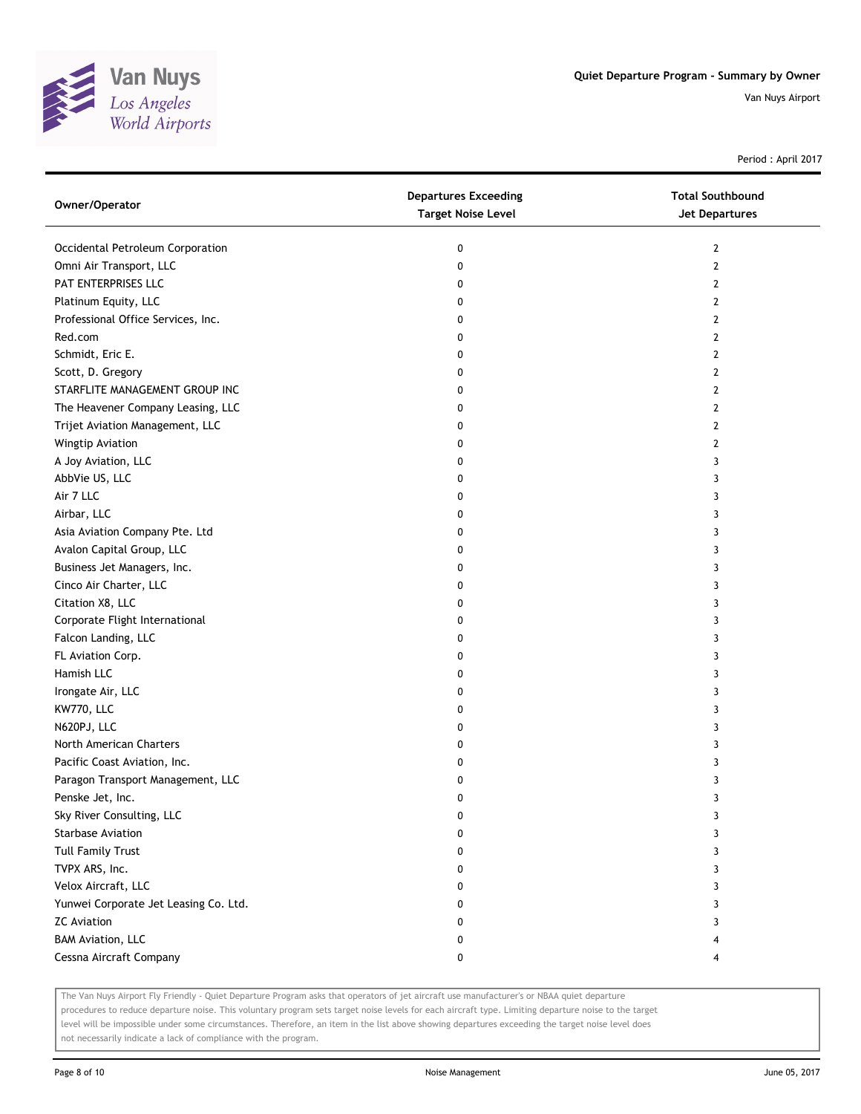

Period : April 2017

| Owner/Operator                        | <b>Departures Exceeding</b><br><b>Target Noise Level</b> | <b>Total Southbound</b><br>Jet Departures |
|---------------------------------------|----------------------------------------------------------|-------------------------------------------|
| Occidental Petroleum Corporation      | 0                                                        | 2                                         |
| Omni Air Transport, LLC               | 0                                                        | $\mathbf{2}$                              |
| PAT ENTERPRISES LLC                   | 0                                                        | $\mathbf{2}$                              |
| Platinum Equity, LLC                  | 0                                                        | $\overline{2}$                            |
| Professional Office Services, Inc.    | 0                                                        | 2                                         |
| Red.com                               | 0                                                        | 2                                         |
| Schmidt, Eric E.                      | 0                                                        | 2                                         |
| Scott, D. Gregory                     | 0                                                        | 2                                         |
| STARFLITE MANAGEMENT GROUP INC        | 0                                                        | 2                                         |
| The Heavener Company Leasing, LLC     | 0                                                        | 2                                         |
| Trijet Aviation Management, LLC       | 0                                                        | 2                                         |
| Wingtip Aviation                      | 0                                                        | 2                                         |
| A Joy Aviation, LLC                   | 0                                                        | 3                                         |
| AbbVie US, LLC                        | 0                                                        | 3                                         |
| Air 7 LLC                             | 0                                                        | 3                                         |
| Airbar, LLC                           | 0                                                        | 3                                         |
| Asia Aviation Company Pte. Ltd        | 0                                                        | 3                                         |
| Avalon Capital Group, LLC             | 0                                                        | 3                                         |
| Business Jet Managers, Inc.           | 0                                                        | 3                                         |
| Cinco Air Charter, LLC                | 0                                                        | 3                                         |
| Citation X8, LLC                      | 0                                                        | 3                                         |
| Corporate Flight International        | 0                                                        | 3                                         |
| Falcon Landing, LLC                   | 0                                                        | 3                                         |
| FL Aviation Corp.                     | 0                                                        | 3                                         |
| Hamish LLC                            | 0                                                        | 3                                         |
| Irongate Air, LLC                     | 0                                                        | 3                                         |
| KW770, LLC                            | 0                                                        | 3                                         |
| N620PJ, LLC                           | 0                                                        | 3                                         |
| North American Charters               | 0                                                        | 3                                         |
| Pacific Coast Aviation, Inc.          | 0                                                        | 3                                         |
| Paragon Transport Management, LLC     | 0                                                        | 3                                         |
| Penske Jet, Inc.                      | 0                                                        | 3                                         |
| Sky River Consulting, LLC             | 0                                                        | 3                                         |
| Starbase Aviation                     | 0                                                        | 3                                         |
| <b>Tull Family Trust</b>              | 0                                                        | 3                                         |
| TVPX ARS, Inc.                        | 0                                                        | 3                                         |
| Velox Aircraft, LLC                   | 0                                                        | 3                                         |
| Yunwei Corporate Jet Leasing Co. Ltd. | 0                                                        | 3                                         |
| <b>ZC</b> Aviation                    | 0                                                        | 3                                         |
| <b>BAM Aviation, LLC</b>              | 0                                                        |                                           |
| Cessna Aircraft Company               | 0                                                        | 4                                         |

The Van Nuys Airport Fly Friendly - Quiet Departure Program asks that operators of jet aircraft use manufacturer's or NBAA quiet departure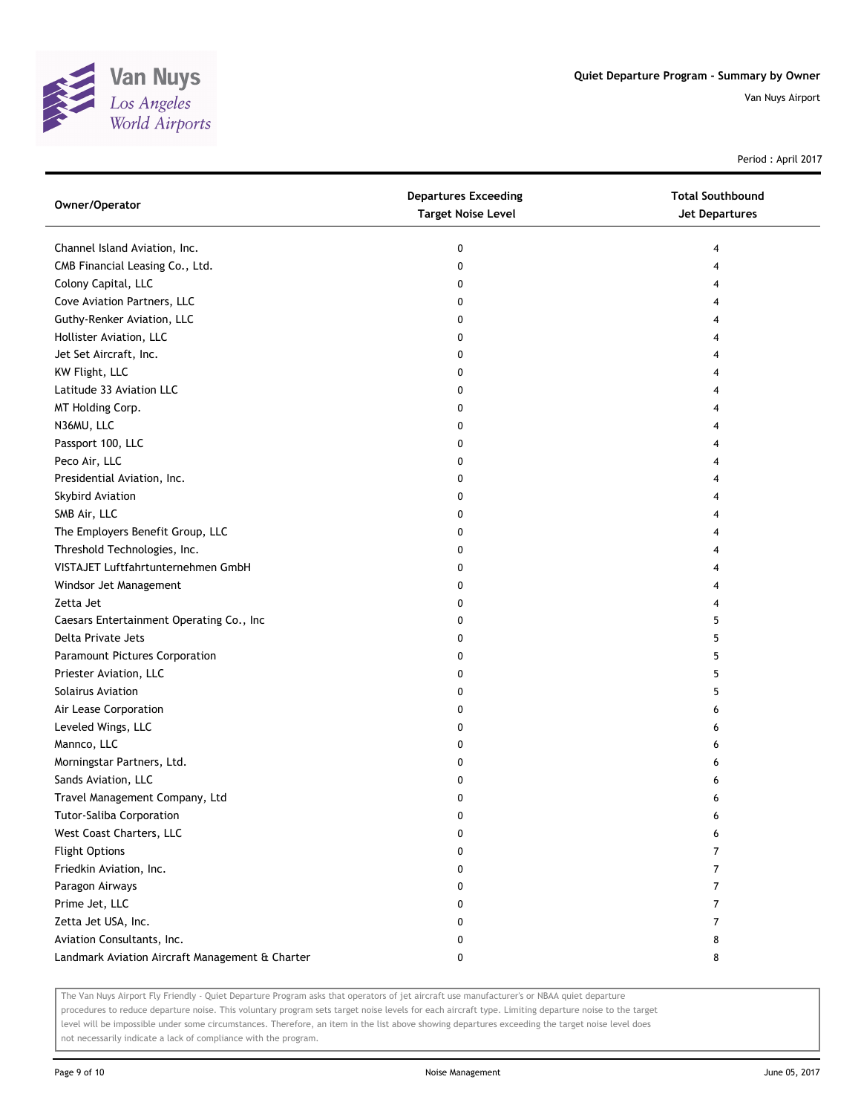

Period : April 2017

| Owner/Operator                                  | <b>Departures Exceeding</b><br><b>Target Noise Level</b> | <b>Total Southbound</b><br>Jet Departures |
|-------------------------------------------------|----------------------------------------------------------|-------------------------------------------|
| Channel Island Aviation, Inc.                   | 0                                                        | 4                                         |
| CMB Financial Leasing Co., Ltd.                 | 0                                                        | 4                                         |
| Colony Capital, LLC                             | 0                                                        | 4                                         |
| Cove Aviation Partners, LLC                     | 0                                                        | 4                                         |
| Guthy-Renker Aviation, LLC                      | 0                                                        | 4                                         |
| Hollister Aviation, LLC                         | 0                                                        | 4                                         |
| Jet Set Aircraft, Inc.                          | 0                                                        | 4                                         |
| KW Flight, LLC                                  | 0                                                        | 4                                         |
| Latitude 33 Aviation LLC                        | 0                                                        | 4                                         |
| MT Holding Corp.                                | 0                                                        |                                           |
| N36MU, LLC                                      | 0                                                        |                                           |
| Passport 100, LLC                               | 0                                                        |                                           |
| Peco Air, LLC                                   | 0                                                        | 4                                         |
| Presidential Aviation, Inc.                     | 0                                                        | 4                                         |
| Skybird Aviation                                | 0                                                        | 4                                         |
| SMB Air, LLC                                    | 0                                                        | 4                                         |
| The Employers Benefit Group, LLC                | 0                                                        | 4                                         |
| Threshold Technologies, Inc.                    | 0                                                        | 4                                         |
| VISTAJET Luftfahrtunternehmen GmbH              | 0                                                        | 4                                         |
| Windsor Jet Management                          | 0                                                        | 4                                         |
| Zetta Jet                                       | 0                                                        | 4                                         |
| Caesars Entertainment Operating Co., Inc        | 0                                                        | 5                                         |
| Delta Private Jets                              | 0                                                        | 5                                         |
| Paramount Pictures Corporation                  | 0                                                        | 5                                         |
| Priester Aviation, LLC                          | 0                                                        | 5                                         |
| Solairus Aviation                               | 0                                                        | 5                                         |
| Air Lease Corporation                           | 0                                                        | 6                                         |
| Leveled Wings, LLC                              | 0                                                        | 6                                         |
| Mannco, LLC                                     | 0                                                        | 6                                         |
| Morningstar Partners, Ltd.                      | 0                                                        | 6                                         |
| Sands Aviation, LLC                             | 0                                                        | 6                                         |
| Travel Management Company, Ltd                  | 0                                                        | 6                                         |
| Tutor-Saliba Corporation                        | $\pmb{0}$                                                | 6                                         |
| West Coast Charters, LLC                        | 0                                                        | 6                                         |
| <b>Flight Options</b>                           | 0                                                        | 7                                         |
| Friedkin Aviation, Inc.                         | 0                                                        | 7                                         |
| Paragon Airways                                 | 0                                                        | 7                                         |
| Prime Jet, LLC                                  | 0                                                        | 7                                         |
| Zetta Jet USA, Inc.                             | 0                                                        | 7                                         |
| Aviation Consultants, Inc.                      | 0                                                        | 8                                         |
| Landmark Aviation Aircraft Management & Charter | 0                                                        | 8                                         |

The Van Nuys Airport Fly Friendly - Quiet Departure Program asks that operators of jet aircraft use manufacturer's or NBAA quiet departure